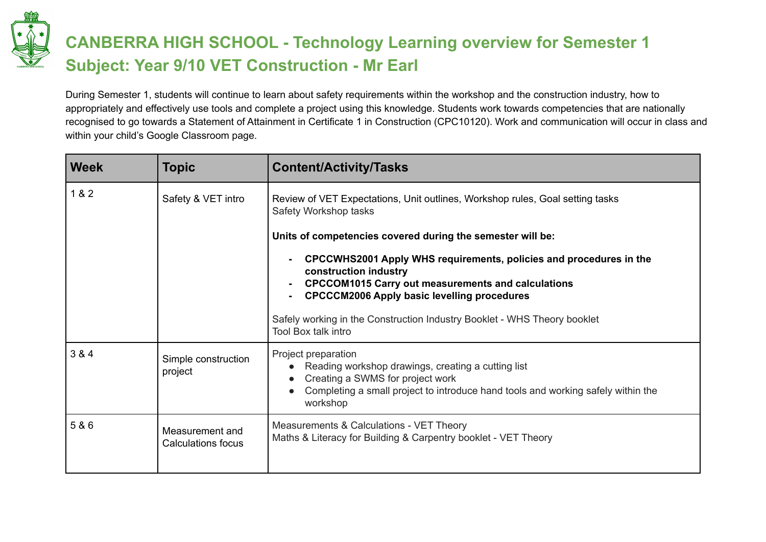

## **CANBERRA HIGH SCHOOL - Technology Learning overview for Semester 1 Subject: Year 9/10 VET Construction - Mr Earl**

During Semester 1, students will continue to learn about safety requirements within the workshop and the construction industry, how to appropriately and effectively use tools and complete a project using this knowledge. Students work towards competencies that are nationally recognised to go towards a Statement of Attainment in Certificate 1 in Construction (CPC10120). Work and communication will occur in class and within your child's Google Classroom page.

| <b>Week</b> | <b>Topic</b>                                 | <b>Content/Activity/Tasks</b>                                                                                                                                                                                  |
|-------------|----------------------------------------------|----------------------------------------------------------------------------------------------------------------------------------------------------------------------------------------------------------------|
| 1 & 2       | Safety & VET intro                           | Review of VET Expectations, Unit outlines, Workshop rules, Goal setting tasks<br>Safety Workshop tasks                                                                                                         |
|             |                                              | Units of competencies covered during the semester will be:                                                                                                                                                     |
|             |                                              | CPCCWHS2001 Apply WHS requirements, policies and procedures in the<br>construction industry<br><b>CPCCOM1015 Carry out measurements and calculations</b><br><b>CPCCCM2006 Apply basic levelling procedures</b> |
|             |                                              | Safely working in the Construction Industry Booklet - WHS Theory booklet<br><b>Tool Box talk intro</b>                                                                                                         |
| 3 & 4       | Simple construction<br>project               | Project preparation<br>Reading workshop drawings, creating a cutting list<br>Creating a SWMS for project work<br>Completing a small project to introduce hand tools and working safely within the<br>workshop  |
| 5 & 6       | Measurement and<br><b>Calculations focus</b> | Measurements & Calculations - VET Theory<br>Maths & Literacy for Building & Carpentry booklet - VET Theory                                                                                                     |